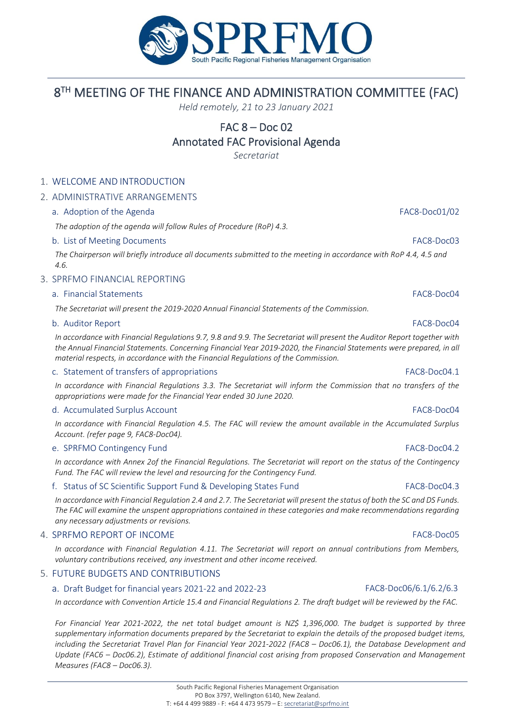

# 8 TH MEETING OF THE FINANCE AND ADMINISTRATION COMMITTEE (FAC)

*Held remotely, 21 to 23 January 2021*

# FAC 8 – Doc 02

## Annotated FAC Provisional Agenda

*Secretariat*

### 1. WELCOME AND INTRODUCTION

### 2. ADMINISTRATIVE ARRANGEMENTS

### a. Adoption of the Agenda FAC8-Doc01/02

*The adoption of the agenda will follow Rules of Procedure (RoP) 4.3.*

### b. List of Meeting Documents FAC8-Doc03

*The Chairperson will briefly introduce all documents submitted to the meeting in accordance with RoP 4.4, 4.5 and 4.6.*

### 3. SPRFMO FINANCIAL REPORTING

### a. Financial Statements FAC8-Doc04

*The Secretariat will present the 2019-2020 Annual Financial Statements of the Commission.*

### b. Auditor Report FAC8-Doc04

*In accordance with Financial Regulations 9.7, 9.8 and 9.9. The Secretariat will present the Auditor Report together with the Annual Financial Statements. Concerning Financial Year 2019-2020, the Financial Statements were prepared, in all material respects, in accordance with the Financial Regulations of the Commission.*

### c. Statement of transfers of appropriations FAC8-Doc04.1

*In accordance with Financial Regulations 3.3. The Secretariat will inform the Commission that no transfers of the appropriations were made for the Financial Year ended 30 June 2020.*

### d. Accumulated Surplus Account FAC8-Doc04

*In accordance with Financial Regulation 4.5. The FAC will review the amount available in the Accumulated Surplus Account. (refer page 9, FAC8-Doc04).*

### e. SPRFMO Contingency Fund FAC8-Doc04.2

*In accordance with Annex 2of the Financial Regulations. The Secretariat will report on the status of the Contingency Fund. The FAC will review the level and resourcing for the Contingency Fund.* 

### f. Status of SC Scientific Support Fund & Developing States Fund FAC8-Doc04.3

*In accordance with Financial Regulation 2.4 and 2.7. The Secretariat will present the status of both the SC and DS Funds. The FAC will examine the unspent appropriations contained in these categories and make recommendations regarding any necessary adjustments or revisions.* 

### 4. SPRFMO REPORT OF INCOME FAC8-DOCOS

*In accordance with Financial Regulation 4.11. The Secretariat will report on annual contributions from Members, voluntary contributions received, any investment and other income received.*

### 5. FUTURE BUDGETS AND CONTRIBUTIONS

### a. Draft Budget for financial years 2021-22 and 2022-23 FAC8-Doc06/6.1/6.2/6.3

*In accordance with Convention Article 15.4 and Financial Regulations 2. The draft budget will be reviewed by the FAC.* 

*For Financial Year 2021-2022, the net total budget amount is NZ\$ 1,396,000. The budget is supported by three supplementary information documents prepared by the Secretariat to explain the details of the proposed budget items, including the Secretariat Travel Plan for Financial Year 2021-2022 (FAC8 – Doc06.1), the Database Development and Update (FAC6 – Doc06.2), Estimate of additional financial cost arising from proposed Conservation and Management Measures (FAC8 – Doc06.3).*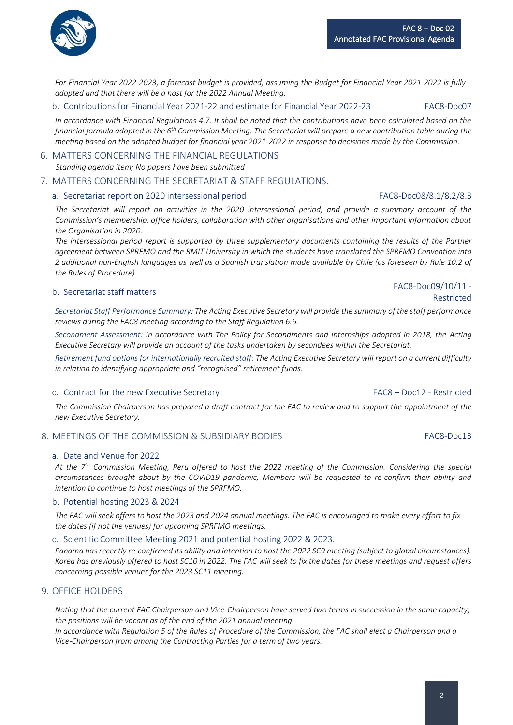*For Financial Year 2022-2023, a forecast budget is provided, assuming the Budget for Financial Year 2021-2022 is fully adopted and that there will be a host for the 2022 Annual Meeting.*

### b. Contributions for Financial Year 2021-22 and estimate for Financial Year 2022-23 FAC8-Doc07

*In accordance with Financial Regulations 4.7. It shall be noted that the contributions have been calculated based on the financial formula adopted in the 6th Commission Meeting. The Secretariat will prepare a new contribution table during the meeting based on the adopted budget for financial year 2021-2022 in response to decisions made by the Commission.* 

## 6. MATTERS CONCERNING THE FINANCIAL REGULATIONS

*Standing agenda item; No papers have been submitted*

## 7. MATTERS CONCERNING THE SECRETARIAT & STAFF REGULATIONS.

## a. Secretariat report on 2020 intersessional period FAC8-Doc08/8.1/8.2/8.3

*The Secretariat will report on activities in the 2020 intersessional period, and provide a summary account of the Commission's membership, office holders, collaboration with other organisations and other important information about the Organisation in 2020.*

*The intersessional period report is supported by three supplementary documents containing the results of the Partner agreement between SPRFMO and the RMIT University in which the students have translated the SPRFMO Convention into 2 additional non-English languages as well as a Spanish translation made available by Chile (as foreseen by Rule 10.2 of the Rules of Procedure).*

# b. Secretariat staff matters FAC8-Doc09/10/11 -

*Secretariat Staff Performance Summary: The Acting Executive Secretary will provide the summary of the staff performance reviews during the FAC8 meeting according to the Staff Regulation 6.6.*

*Secondment Assessment: In accordance with The Policy for Secondments and Internships adopted in 2018, the Acting Executive Secretary will provide an account of the tasks undertaken by secondees within the Secretariat.*

*Retirement fund options for internationally recruited staff: The Acting Executive Secretary will report on a current difficulty in relation to identifying appropriate and "recognised" retirement funds.*

## c. Contract for the new Executive Secretary FAC8 – Doc12 - Restricted

The Commission Chairperson has prepared a draft contract for the FAC to review and to support the appointment of the *new Executive Secretary.*

## 8. MEETINGS OF THE COMMISSION & SUBSIDIARY BODIES FAC8-Doc13

## a. Date and Venue for 2022

*At the 7th Commission Meeting, Peru offered to host the 2022 meeting of the Commission. Considering the special circumstances brought about by the COVID19 pandemic, Members will be requested to re-confirm their ability and intention to continue to host meetings of the SPRFMO.*

## b. Potential hosting 2023 & 2024

*The FAC will seek offers to host the 2023 and 2024 annual meetings. The FAC is encouraged to make every effort to fix the dates (if not the venues) for upcoming SPRFMO meetings.*

c. Scientific Committee Meeting 2021 and potential hosting 2022 & 2023.

*Panama has recently re-confirmed its ability and intention to host the 2022 SC9 meeting (subject to global circumstances). Korea has previously offered to host SC10 in 2022. The FAC will seek to fix the dates for these meetings and request offers concerning possible venues for the 2023 SC11 meeting.*

### 9. OFFICE HOLDERS

*Noting that the current FAC Chairperson and Vice-Chairperson have served two terms in succession in the same capacity, the positions will be vacant as of the end of the 2021 annual meeting.* 

*In accordance with Regulation 5 of the Rules of Procedure of the Commission, the FAC shall elect a Chairperson and a Vice-Chairperson from among the Contracting Parties for a term of two years.*

Restricted